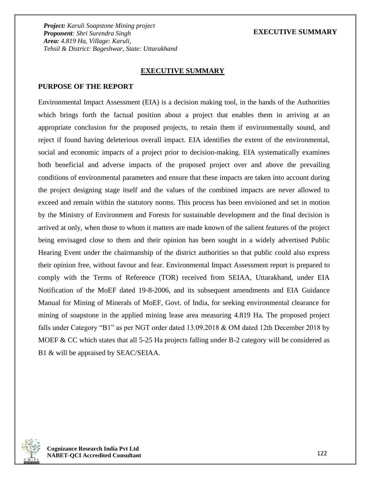### **EXECUTIVE SUMMARY**

#### **EXECUTIVE SUMMARY**

#### **PURPOSE OF THE REPORT**

Environmental Impact Assessment (EIA) is a decision making tool, in the hands of the Authorities which brings forth the factual position about a project that enables them in arriving at an appropriate conclusion for the proposed projects, to retain them if environmentally sound, and reject if found having deleterious overall impact. EIA identifies the extent of the environmental, social and economic impacts of a project prior to decision-making. EIA systematically examines both beneficial and adverse impacts of the proposed project over and above the prevailing conditions of environmental parameters and ensure that these impacts are taken into account during the project designing stage itself and the values of the combined impacts are never allowed to exceed and remain within the statutory norms. This process has been envisioned and set in motion by the Ministry of Environment and Forests for sustainable development and the final decision is arrived at only, when those to whom it matters are made known of the salient features of the project being envisaged close to them and their opinion has been sought in a widely advertised Public Hearing Event under the chairmanship of the district authorities so that public could also express their opinion free, without favour and fear. Environmental Impact Assessment report is prepared to comply with the Terms of Reference (TOR) received from SEIAA, Uttarakhand, under EIA Notification of the MoEF dated 19-8-2006, and its subsequent amendments and EIA Guidance Manual for Mining of Minerals of MoEF, Govt. of India, for seeking environmental clearance for mining of soapstone in the applied mining lease area measuring 4.819 Ha. The proposed project falls under Category "B1" as per NGT order dated 13.09.2018 & OM dated 12th December 2018 by MOEF & CC which states that all 5-25 Ha projects falling under B-2 category will be considered as B1 & will be appraised by SEAC/SEIAA.

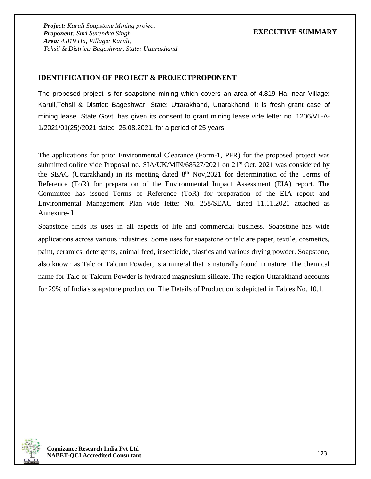### **IDENTIFICATION OF PROJECT & PROJECTPROPONENT**

The proposed project is for soapstone mining which covers an area of 4.819 Ha. near Village: Karuli,Tehsil & District: Bageshwar, State: Uttarakhand, Uttarakhand. It is fresh grant case of mining lease. State Govt. has given its consent to grant mining lease vide letter no. 1206/VII-A-1/2021/01(25)/2021 dated 25.08.2021. for a period of 25 years.

The applications for prior Environmental Clearance (Form-1, PFR) for the proposed project was submitted online vide Proposal no. SIA/UK/MIN/68527/2021 on 21<sup>st</sup> Oct, 2021 was considered by the SEAC (Uttarakhand) in its meeting dated 8<sup>th</sup> Nov,2021 for determination of the Terms of Reference (ToR) for preparation of the Environmental Impact Assessment (EIA) report. The Committee has issued Terms of Reference (ToR) for preparation of the EIA report and Environmental Management Plan vide letter No. 258/SEAC dated 11.11.2021 attached as Annexure- I

Soapstone finds its uses in all aspects of life and commercial business. Soapstone has wide applications across various industries. Some uses for soapstone or talc are paper, textile, cosmetics, paint, ceramics, detergents, animal feed, insecticide, plastics and various drying powder. Soapstone, also known as Talc or Talcum Powder, is a mineral that is naturally found in nature. The chemical name for Talc or Talcum Powder is hydrated magnesium silicate. The region Uttarakhand accounts for 29% of India's soapstone production. The Details of Production is depicted in Tables No. 10.1.

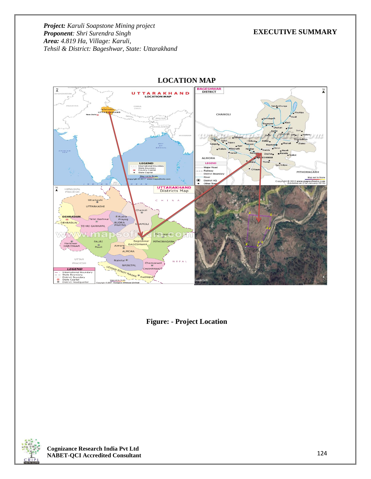### **EXECUTIVE SUMMARY**



**LOCATION MAP**

**Figure: - Project Location**



**Cognizance Research India Pvt Ltd NABET-QCI Accredited Consultant**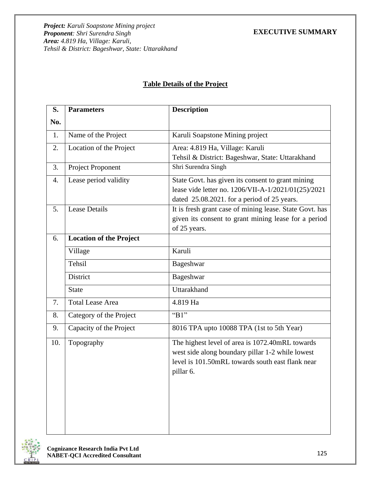|  | <b>Table Details of the Project</b> |
|--|-------------------------------------|
|  |                                     |

| S.  | <b>Parameters</b>              | <b>Description</b>                                                                                                                                                   |
|-----|--------------------------------|----------------------------------------------------------------------------------------------------------------------------------------------------------------------|
| No. |                                |                                                                                                                                                                      |
| 1.  | Name of the Project            | Karuli Soapstone Mining project                                                                                                                                      |
| 2.  | Location of the Project        | Area: 4.819 Ha, Village: Karuli<br>Tehsil & District: Bageshwar, State: Uttarakhand                                                                                  |
| 3.  | Project Proponent              | Shri Surendra Singh                                                                                                                                                  |
| 4.  | Lease period validity          | State Govt. has given its consent to grant mining<br>lease vide letter no. 1206/VII-A-1/2021/01(25)/2021<br>dated 25.08.2021. for a period of 25 years.              |
| 5.  | <b>Lease Details</b>           | It is fresh grant case of mining lease. State Govt. has<br>given its consent to grant mining lease for a period<br>of 25 years.                                      |
| 6.  | <b>Location of the Project</b> |                                                                                                                                                                      |
|     | Village                        | Karuli                                                                                                                                                               |
|     | Tehsil                         | Bageshwar                                                                                                                                                            |
|     | District                       | Bageshwar                                                                                                                                                            |
|     | <b>State</b>                   | Uttarakhand                                                                                                                                                          |
| 7.  | <b>Total Lease Area</b>        | 4.819 Ha                                                                                                                                                             |
| 8.  | Category of the Project        | " $B1"$                                                                                                                                                              |
| 9.  | Capacity of the Project        | 8016 TPA upto 10088 TPA (1st to 5th Year)                                                                                                                            |
| 10. | Topography                     | The highest level of area is 1072.40mRL towards<br>west side along boundary pillar 1-2 while lowest<br>level is 101.50mRL towards south east flank near<br>pillar 6. |

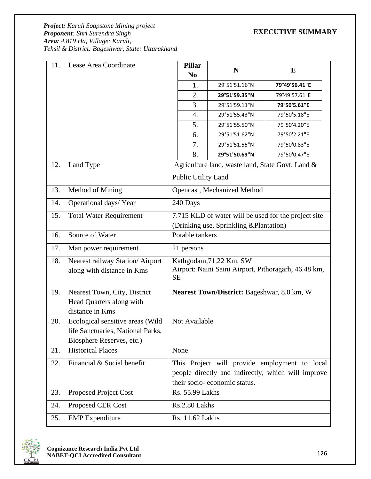*Project: Karuli Soapstone Mining project Proponent: Shri Surendra Singh Area: 4.819 Ha, Village: Karuli, Tehsil & District: Bageshwar, State: Uttarakhand*

| 11. | Lease Area Coordinate             | <b>Pillar</b><br>N <sub>0</sub>                                   | N                                                | E                                                  |
|-----|-----------------------------------|-------------------------------------------------------------------|--------------------------------------------------|----------------------------------------------------|
|     |                                   | 1.                                                                | 29°51'51.16"N                                    | 79°49'56.41"E                                      |
|     |                                   | 2.                                                                | 29°51'59.35"N                                    | 79°49'57.61"E                                      |
|     |                                   | 3.                                                                | 29°51'59.11"N                                    | 79°50'5.61"E                                       |
|     |                                   | 4.                                                                | 29°51'55.43"N                                    | 79°50'5.18"E                                       |
|     |                                   | 5.                                                                | 29°51'55.50"N                                    | 79°50'4.20"E                                       |
|     |                                   | 6.                                                                | 29°51'51.62"N                                    | 79°50'2.21"E                                       |
|     |                                   | 7.                                                                | 29°51'51.55"N                                    | 79°50'0.83"E                                       |
|     |                                   | 8.                                                                | 29°51'50.69"N                                    | 79°50'0.47"E                                       |
| 12. | Land Type                         |                                                                   | Agriculture land, waste land, State Govt. Land & |                                                    |
|     |                                   | Public Utility Land                                               |                                                  |                                                    |
| 13. | Method of Mining                  |                                                                   | Opencast, Mechanized Method                      |                                                    |
| 14. | Operational days/Year             | 240 Days                                                          |                                                  |                                                    |
| 15. | <b>Total Water Requirement</b>    | 7.715 KLD of water will be used for the project site              |                                                  |                                                    |
|     |                                   | (Drinking use, Sprinkling & Plantation)                           |                                                  |                                                    |
| 16. | Source of Water                   | Potable tankers                                                   |                                                  |                                                    |
| 17. | Man power requirement             | 21 persons                                                        |                                                  |                                                    |
| 18. | Nearest railway Station/ Airport  | Kathgodam, 71.22 Km, SW                                           |                                                  |                                                    |
|     | along with distance in Kms        | Airport: Naini Saini Airport, Pithoragarh, 46.48 km,<br><b>SE</b> |                                                  |                                                    |
| 19. | Nearest Town, City, District      |                                                                   | Nearest Town/District: Bageshwar, 8.0 km, W      |                                                    |
|     | Head Quarters along with          |                                                                   |                                                  |                                                    |
|     | distance in Kms                   |                                                                   |                                                  |                                                    |
| 20. | Ecological sensitive areas (Wild  | Not Available                                                     |                                                  |                                                    |
|     | life Sanctuaries, National Parks, |                                                                   |                                                  |                                                    |
|     | Biosphere Reserves, etc.)         |                                                                   |                                                  |                                                    |
| 21. | <b>Historical Places</b>          | None                                                              |                                                  |                                                    |
| 22. | Financial & Social benefit        | This Project will provide employment to local                     |                                                  |                                                    |
|     |                                   |                                                                   |                                                  | people directly and indirectly, which will improve |
|     |                                   | their socio-economic status.                                      |                                                  |                                                    |
| 23. | Proposed Project Cost             | Rs. 55.99 Lakhs                                                   |                                                  |                                                    |
| 24. | Proposed CER Cost                 | Rs.2.80 Lakhs                                                     |                                                  |                                                    |
| 25. | <b>EMP</b> Expenditure            | Rs. 11.62 Lakhs                                                   |                                                  |                                                    |

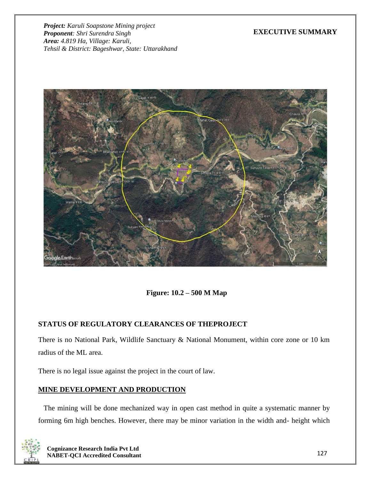## **EXECUTIVE SUMMARY**



**Figure: 10.2 – 500 M Map**

# **STATUS OF REGULATORY CLEARANCES OF THEPROJECT**

There is no National Park, Wildlife Sanctuary & National Monument, within core zone or 10 km radius of the ML area.

There is no legal issue against the project in the court of law.

# **MINE DEVELOPMENT AND PRODUCTION**

The mining will be done mechanized way in open cast method in quite a systematic manner by forming 6m high benches. However, there may be minor variation in the width and- height which

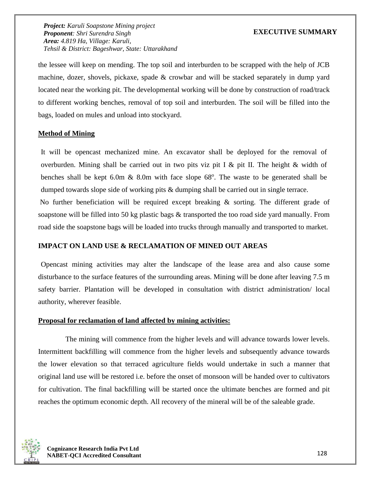## **EXECUTIVE SUMMARY**

the lessee will keep on mending. The top soil and interburden to be scrapped with the help of JCB machine, dozer, shovels, pickaxe, spade & crowbar and will be stacked separately in dump yard located near the working pit. The developmental working will be done by construction of road/track to different working benches, removal of top soil and interburden. The soil will be filled into the bags, loaded on mules and unload into stockyard.

### **Method of Mining**

It will be opencast mechanized mine. An excavator shall be deployed for the removal of overburden. Mining shall be carried out in two pits viz pit I & pit II. The height & width of benches shall be kept  $6.0m \& 8.0m$  with face slope  $68^\circ$ . The waste to be generated shall be dumped towards slope side of working pits  $\&$  dumping shall be carried out in single terrace.

No further beneficiation will be required except breaking & sorting. The different grade of soapstone will be filled into 50 kg plastic bags & transported the too road side yard manually. From road side the soapstone bags will be loaded into trucks through manually and transported to market.

#### **IMPACT ON LAND USE & RECLAMATION OF MINED OUT AREAS**

Opencast mining activities may alter the landscape of the lease area and also cause some disturbance to the surface features of the surrounding areas. Mining will be done after leaving 7.5 m safety barrier. Plantation will be developed in consultation with district administration/ local authority, wherever feasible.

#### **Proposal for reclamation of land affected by mining activities:**

The mining will commence from the higher levels and will advance towards lower levels. Intermittent backfilling will commence from the higher levels and subsequently advance towards the lower elevation so that terraced agriculture fields would undertake in such a manner that original land use will be restored i.e. before the onset of monsoon will be handed over to cultivators for cultivation. The final backfilling will be started once the ultimate benches are formed and pit reaches the optimum economic depth. All recovery of the mineral will be of the saleable grade.

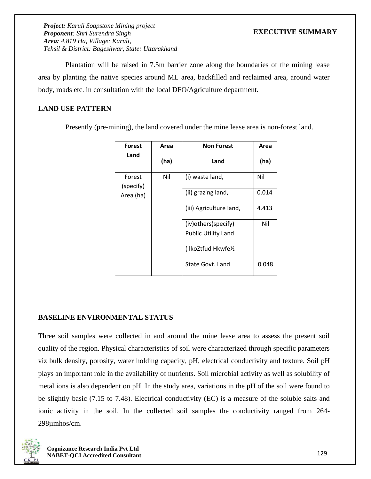## **EXECUTIVE SUMMARY**

Plantation will be raised in 7.5m barrier zone along the boundaries of the mining lease area by planting the native species around ML area, backfilled and reclaimed area, around water body, roads etc. in consultation with the local DFO/Agriculture department.

## **LAND USE PATTERN**

Presently (pre-mining), the land covered under the mine lease area is non-forest land.

| <b>Forest</b>       | <b>Non Forest</b><br>Area |                            | Area  |
|---------------------|---------------------------|----------------------------|-------|
| Land                | (ha)                      | Land                       | (ha)  |
| Forest<br>(specify) | Nil                       | (i) waste land,            | Nil   |
| Area (ha)           |                           | (ii) grazing land,         | 0.014 |
|                     |                           | (iii) Agriculture land,    | 4.413 |
|                     |                           | (iv) others (specify)      | Nil   |
|                     |                           | <b>Public Utility Land</b> |       |
|                     |                           | (IkoZtfud Hkwfe1/2         |       |
|                     |                           | State Govt. Land           | 0.048 |

### **BASELINE ENVIRONMENTAL STATUS**

Three soil samples were collected in and around the mine lease area to assess the present soil quality of the region. Physical characteristics of soil were characterized through specific parameters viz bulk density, porosity, water holding capacity, pH, electrical conductivity and texture. Soil pH plays an important role in the availability of nutrients. Soil microbial activity as well as solubility of metal ions is also dependent on pH. In the study area, variations in the pH of the soil were found to be slightly basic (7.15 to 7.48). Electrical conductivity (EC) is a measure of the soluble salts and ionic activity in the soil. In the collected soil samples the conductivity ranged from 264- 298µmhos/cm.

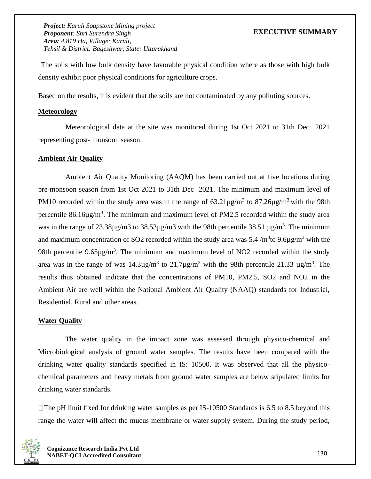### **EXECUTIVE SUMMARY**

The soils with low bulk density have favorable physical condition where as those with high bulk density exhibit poor physical conditions for agriculture crops.

Based on the results, it is evident that the soils are not contaminated by any polluting sources.

#### **Meteorology**

Meteorological data at the site was monitored during 1st Oct 2021 to 31th Dec 2021 representing post- monsoon season.

#### **Ambient Air Quality**

Ambient Air Quality Monitoring (AAQM) has been carried out at five locations during pre-monsoon season from 1st Oct 2021 to 31th Dec 2021. The minimum and maximum level of PM10 recorded within the study area was in the range of  $63.21\mu\text{g/m}^3$  to  $87.26\mu\text{g/m}^3$  with the 98th percentile  $86.16\mu\text{g/m}^3$ . The minimum and maximum level of PM2.5 recorded within the study area was in the range of  $23.38\mu$ g/m3 to  $38.53\mu$ g/m3 with the 98th percentile  $38.51 \mu$ g/m<sup>3</sup>. The minimum and maximum concentration of SO2 recorded within the study area was 5.4 /m<sup>3</sup>to 9.6 $\mu$ g/m<sup>3</sup> with the 98th percentile  $9.65\mu g/m^3$ . The minimum and maximum level of NO2 recorded within the study area was in the range of was  $14.3\mu$ g/m<sup>3</sup> to  $21.7\mu$ g/m<sup>3</sup> with the 98th percentile  $21.33 \mu$ g/m<sup>3</sup>. The results thus obtained indicate that the concentrations of PM10, PM2.5, SO2 and NO2 in the Ambient Air are well within the National Ambient Air Quality (NAAQ) standards for Industrial, Residential, Rural and other areas.

#### **Water Quality**

The water quality in the impact zone was assessed through physico-chemical and Microbiological analysis of ground water samples. The results have been compared with the drinking water quality standards specified in IS: 10500. It was observed that all the physicochemical parameters and heavy metals from ground water samples are below stipulated limits for drinking water standards.

 $\Box$ The pH limit fixed for drinking water samples as per IS-10500 Standards is 6.5 to 8.5 beyond this range the water will affect the mucus membrane or water supply system. During the study period,

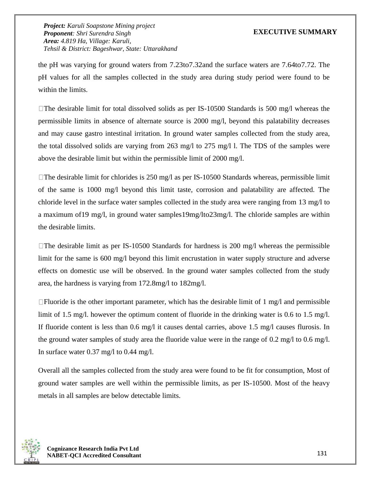### **EXECUTIVE SUMMARY**

the pH was varying for ground waters from 7.23to7.32and the surface waters are 7.64to7.72. The pH values for all the samples collected in the study area during study period were found to be within the limits.

 $\Box$ The desirable limit for total dissolved solids as per IS-10500 Standards is 500 mg/l whereas the permissible limits in absence of alternate source is 2000 mg/l, beyond this palatability decreases and may cause gastro intestinal irritation. In ground water samples collected from the study area, the total dissolved solids are varying from 263 mg/l to 275 mg/l l. The TDS of the samples were above the desirable limit but within the permissible limit of 2000 mg/l.

 $\Box$  The desirable limit for chlorides is 250 mg/l as per IS-10500 Standards whereas, permissible limit of the same is 1000 mg/l beyond this limit taste, corrosion and palatability are affected. The chloride level in the surface water samples collected in the study area were ranging from 13 mg/l to a maximum of19 mg/l, in ground water samples19mg/lto23mg/l. The chloride samples are within the desirable limits.

 $\Box$ The desirable limit as per IS-10500 Standards for hardness is 200 mg/l whereas the permissible limit for the same is 600 mg/l beyond this limit encrustation in water supply structure and adverse effects on domestic use will be observed. In the ground water samples collected from the study area, the hardness is varying from 172.8mg/l to 182mg/l.

 $\Box$  Fluoride is the other important parameter, which has the desirable limit of 1 mg/l and permissible limit of 1.5 mg/l. however the optimum content of fluoride in the drinking water is 0.6 to 1.5 mg/l. If fluoride content is less than 0.6 mg/l it causes dental carries, above 1.5 mg/l causes flurosis. In the ground water samples of study area the fluoride value were in the range of 0.2 mg/l to 0.6 mg/l. In surface water 0.37 mg/l to 0.44 mg/l.

Overall all the samples collected from the study area were found to be fit for consumption, Most of ground water samples are well within the permissible limits, as per IS-10500. Most of the heavy metals in all samples are below detectable limits.

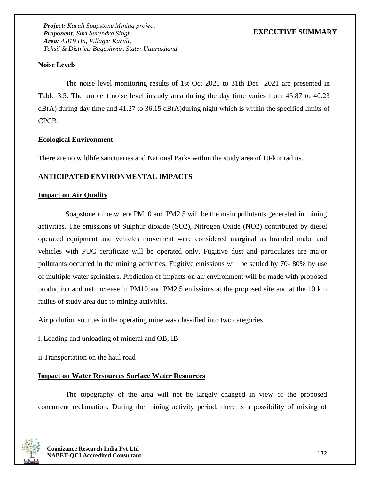## **Noise Levels**

The noise level monitoring results of 1st Oct 2021 to 31th Dec 2021 are presented in Table 3.5. The ambient noise level instudy area during the day time varies from 45.87 to 40.23 dB(A) during day time and 41.27 to 36.15 dB(A)during night which is within the specified limits of CPCB.

### **Ecological Environment**

There are no wildlife sanctuaries and National Parks within the study area of 10-km radius.

## **ANTICIPATED ENVIRONMENTAL IMPACTS**

### **Impact on Air Quality**

Soapstone mine where PM10 and PM2.5 will be the main pollutants generated in mining activities. The emissions of Sulphur dioxide (SO2), Nitrogen Oxide (NO2) contributed by diesel operated equipment and vehicles movement were considered marginal as branded make and vehicles with PUC certificate will be operated only. Fugitive dust and particulates are major pollutants occurred in the mining activities. Fugitive emissions will be settled by 70- 80% by use of multiple water sprinklers. Prediction of impacts on air environment will be made with proposed production and net increase in PM10 and PM2.5 emissions at the proposed site and at the 10 km radius of study area due to mining activities.

Air pollution sources in the operating mine was classified into two categories

- i. Loading and unloading of mineral and OB, IB
- ii.Transportation on the haul road

# **Impact on Water Resources Surface Water Resources**

The topography of the area will not be largely changed in view of the proposed concurrent reclamation. During the mining activity period, there is a possibility of mixing of

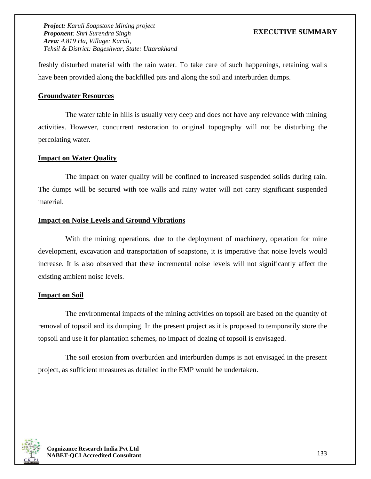## **EXECUTIVE SUMMARY**

freshly disturbed material with the rain water. To take care of such happenings, retaining walls have been provided along the backfilled pits and along the soil and interburden dumps.

### **Groundwater Resources**

The water table in hills is usually very deep and does not have any relevance with mining activities. However, concurrent restoration to original topography will not be disturbing the percolating water.

#### **Impact on Water Quality**

The impact on water quality will be confined to increased suspended solids during rain. The dumps will be secured with toe walls and rainy water will not carry significant suspended material.

### **Impact on Noise Levels and Ground Vibrations**

With the mining operations, due to the deployment of machinery, operation for mine development, excavation and transportation of soapstone, it is imperative that noise levels would increase. It is also observed that these incremental noise levels will not significantly affect the existing ambient noise levels.

#### **Impact on Soil**

The environmental impacts of the mining activities on topsoil are based on the quantity of removal of topsoil and its dumping. In the present project as it is proposed to temporarily store the topsoil and use it for plantation schemes, no impact of dozing of topsoil is envisaged.

The soil erosion from overburden and interburden dumps is not envisaged in the present project, as sufficient measures as detailed in the EMP would be undertaken.

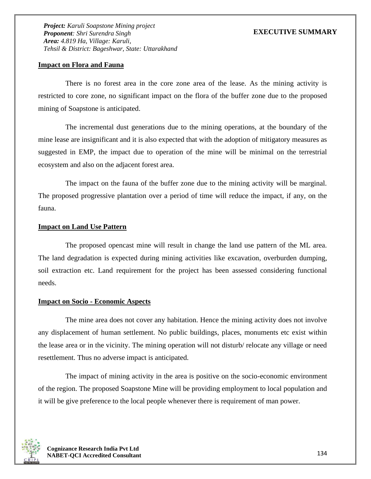### **Impact on Flora and Fauna**

There is no forest area in the core zone area of the lease. As the mining activity is restricted to core zone, no significant impact on the flora of the buffer zone due to the proposed mining of Soapstone is anticipated.

The incremental dust generations due to the mining operations, at the boundary of the mine lease are insignificant and it is also expected that with the adoption of mitigatory measures as suggested in EMP, the impact due to operation of the mine will be minimal on the terrestrial ecosystem and also on the adjacent forest area.

The impact on the fauna of the buffer zone due to the mining activity will be marginal. The proposed progressive plantation over a period of time will reduce the impact, if any, on the fauna.

#### **Impact on Land Use Pattern**

The proposed opencast mine will result in change the land use pattern of the ML area. The land degradation is expected during mining activities like excavation, overburden dumping, soil extraction etc. Land requirement for the project has been assessed considering functional needs.

#### **Impact on Socio - Economic Aspects**

The mine area does not cover any habitation. Hence the mining activity does not involve any displacement of human settlement. No public buildings, places, monuments etc exist within the lease area or in the vicinity. The mining operation will not disturb/ relocate any village or need resettlement. Thus no adverse impact is anticipated.

The impact of mining activity in the area is positive on the socio-economic environment of the region. The proposed Soapstone Mine will be providing employment to local population and it will be give preference to the local people whenever there is requirement of man power.

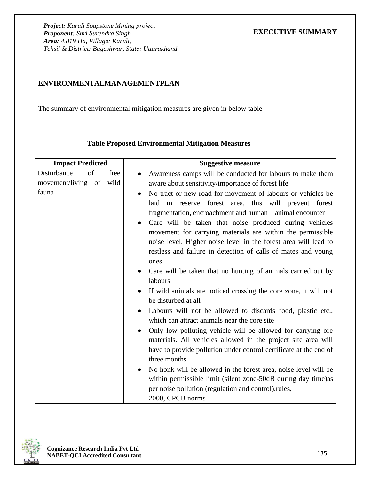## **ENVIRONMENTALMANAGEMENTPLAN**

The summary of environmental mitigation measures are given in below table

| <b>Impact Predicted</b>   | <b>Suggestive measure</b>                                                                                                                                                                                                                                                                                                                                                                                                                                                                                                                                                                                                                                                                                                                                                                                                                                                                                                                                                                                                                                                                                                                                               |
|---------------------------|-------------------------------------------------------------------------------------------------------------------------------------------------------------------------------------------------------------------------------------------------------------------------------------------------------------------------------------------------------------------------------------------------------------------------------------------------------------------------------------------------------------------------------------------------------------------------------------------------------------------------------------------------------------------------------------------------------------------------------------------------------------------------------------------------------------------------------------------------------------------------------------------------------------------------------------------------------------------------------------------------------------------------------------------------------------------------------------------------------------------------------------------------------------------------|
| Disturbance<br>of<br>free | Awareness camps will be conducted for labours to make them<br>$\bullet$                                                                                                                                                                                                                                                                                                                                                                                                                                                                                                                                                                                                                                                                                                                                                                                                                                                                                                                                                                                                                                                                                                 |
| movement/living of wild   | aware about sensitivity/importance of forest life                                                                                                                                                                                                                                                                                                                                                                                                                                                                                                                                                                                                                                                                                                                                                                                                                                                                                                                                                                                                                                                                                                                       |
| fauna                     | No tract or new road for movement of labours or vehicles be<br>$\bullet$<br>laid in reserve forest area, this will prevent forest<br>fragmentation, encroachment and human – animal encounter<br>Care will be taken that noise produced during vehicles<br>movement for carrying materials are within the permissible<br>noise level. Higher noise level in the forest area will lead to<br>restless and failure in detection of calls of mates and young<br>ones<br>Care will be taken that no hunting of animals carried out by<br>labours<br>If wild animals are noticed crossing the core zone, it will not<br>be disturbed at all<br>Labours will not be allowed to discards food, plastic etc.,<br>which can attract animals near the core site<br>Only low polluting vehicle will be allowed for carrying ore<br>materials. All vehicles allowed in the project site area will<br>have to provide pollution under control certificate at the end of<br>three months<br>No honk will be allowed in the forest area, noise level will be<br>within permissible limit (silent zone-50dB during day time) as<br>per noise pollution (regulation and control), rules, |
|                           | 2000, CPCB norms                                                                                                                                                                                                                                                                                                                                                                                                                                                                                                                                                                                                                                                                                                                                                                                                                                                                                                                                                                                                                                                                                                                                                        |

# **Table Proposed Environmental Mitigation Measures**

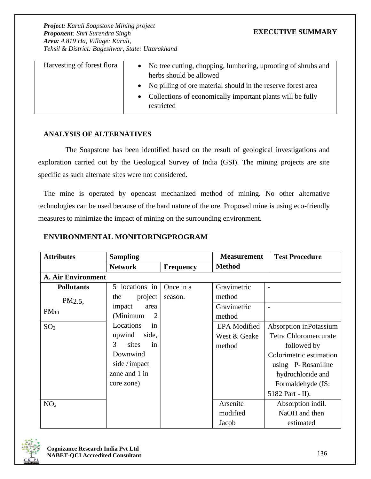| Harvesting of forest flora | No tree cutting, chopping, lumbering, uprooting of shrubs and<br>$\bullet$<br>herbs should be allowed |
|----------------------------|-------------------------------------------------------------------------------------------------------|
|                            | • No pilling of ore material should in the reserve forest area                                        |
|                            | Collections of economically important plants will be fully<br>restricted                              |

#### **ANALYSIS OF ALTERNATIVES**

The Soapstone has been identified based on the result of geological investigations and exploration carried out by the Geological Survey of India (GSI). The mining projects are site specific as such alternate sites were not considered.

The mine is operated by opencast mechanized method of mining. No other alternative technologies can be used because of the hard nature of the ore. Proposed mine is using eco-friendly measures to minimize the impact of mining on the surrounding environment.

### **ENVIRONMENTAL MONITORINGPROGRAM**

| <b>Attributes</b> | <b>Sampling</b>           |                  | <b>Measurement</b>  | <b>Test Procedure</b>   |  |  |
|-------------------|---------------------------|------------------|---------------------|-------------------------|--|--|
|                   | <b>Network</b>            | <b>Frequency</b> | <b>Method</b>       |                         |  |  |
|                   | <b>A. Air Environment</b> |                  |                     |                         |  |  |
| <b>Pollutants</b> | 5 locations in            | Once in a        | Gravimetric         |                         |  |  |
| PM2.5             | project<br>the            | season.          | method              |                         |  |  |
| $PM_{10}$         | impact<br>area            |                  | Gravimetric         |                         |  |  |
|                   | (Minimum<br>2             |                  | method              |                         |  |  |
| SO <sub>2</sub>   | Locations<br>in           |                  | <b>EPA</b> Modified | Absorption inPotassium  |  |  |
|                   | upwind<br>side,           |                  | West & Geake        | Tetra Chloromercurate   |  |  |
|                   | 3<br>sites<br>in          |                  | method              | followed by             |  |  |
|                   | Downwind                  |                  |                     | Colorimetric estimation |  |  |
|                   | side / impact             |                  |                     | using P-Rosaniline      |  |  |
|                   | zone and 1 in             |                  |                     | hydrochloride and       |  |  |
|                   | core zone)                |                  |                     | Formaldehyde (IS:       |  |  |
|                   |                           |                  |                     | 5182 Part - II).        |  |  |
| NO <sub>2</sub>   |                           |                  | Arsenite            | Absorption indil.       |  |  |
|                   |                           |                  | modified            | NaOH and then           |  |  |
|                   |                           |                  | Jacob               | estimated               |  |  |

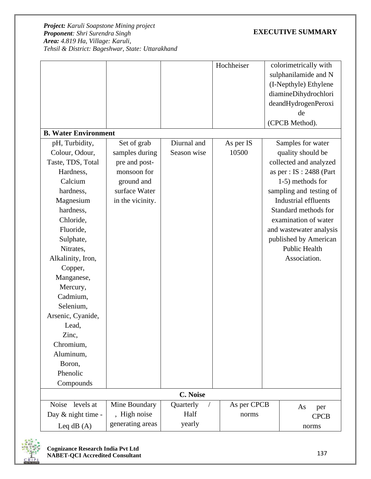# **EXECUTIVE SUMMARY**

|                             |                  |             | Hochheiser  | colorimetrically with       |
|-----------------------------|------------------|-------------|-------------|-----------------------------|
|                             |                  |             |             | sulphanilamide and N        |
|                             |                  |             |             | (I-Nepthyle) Ethylene       |
|                             |                  |             |             | diamineDihydrochlori        |
|                             |                  |             |             | deandHydrogenPeroxi         |
|                             |                  |             |             | de                          |
|                             |                  |             |             | (CPCB Method).              |
| <b>B. Water Environment</b> |                  |             |             |                             |
| pH, Turbidity,              | Set of grab      | Diurnal and | As per IS   | Samples for water           |
| Colour, Odour,              | samples during   | Season wise | 10500       | quality should be           |
| Taste, TDS, Total           | pre and post-    |             |             | collected and analyzed      |
| Hardness,                   | monsoon for      |             |             | as per : $IS : 2488$ (Part  |
| Calcium                     | ground and       |             |             | 1-5) methods for            |
| hardness,                   | surface Water    |             |             | sampling and testing of     |
| Magnesium                   | in the vicinity. |             |             | <b>Industrial effluents</b> |
| hardness,                   |                  |             |             | Standard methods for        |
| Chloride,                   |                  |             |             | examination of water        |
| Fluoride,                   |                  |             |             | and wastewater analysis     |
| Sulphate,                   |                  |             |             | published by American       |
| Nitrates,                   |                  |             |             | <b>Public Health</b>        |
| Alkalinity, Iron,           |                  |             |             | Association.                |
| Copper,                     |                  |             |             |                             |
| Manganese,                  |                  |             |             |                             |
| Mercury,                    |                  |             |             |                             |
| Cadmium,                    |                  |             |             |                             |
| Selenium,                   |                  |             |             |                             |
| Arsenic, Cyanide,           |                  |             |             |                             |
| Lead,                       |                  |             |             |                             |
| Zinc,                       |                  |             |             |                             |
| Chromium,                   |                  |             |             |                             |
| Aluminum,                   |                  |             |             |                             |
| Boron,                      |                  |             |             |                             |
| Phenolic                    |                  |             |             |                             |
| Compounds                   |                  |             |             |                             |
|                             |                  | C. Noise    |             |                             |
| <b>Noise</b><br>levels at   | Mine Boundary    | Quarterly   | As per CPCB | As<br>per                   |
| Day & night time -          | , High noise     | Half        | norms       | <b>CPCB</b>                 |
| Leq $dB(A)$                 | generating areas | yearly      |             | norms                       |



**Cognizance Research India Pvt Ltd NABET-QCI Accredited Consultant**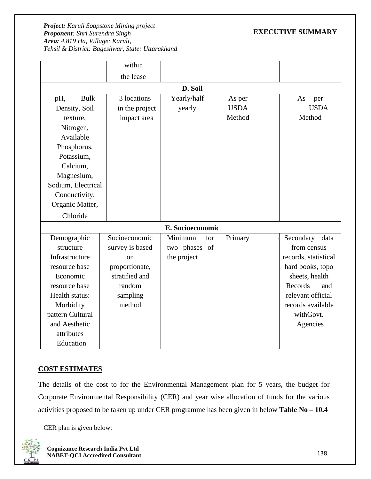## **EXECUTIVE SUMMARY**

|                    | within          |                  |             |                      |
|--------------------|-----------------|------------------|-------------|----------------------|
|                    | the lease       |                  |             |                      |
|                    |                 | D. Soil          |             |                      |
| <b>Bulk</b><br>pH, | 3 locations     | Yearly/half      | As per      | As<br>per            |
| Density, Soil      | in the project  | yearly           | <b>USDA</b> | <b>USDA</b>          |
| texture,           | impact area     |                  | Method      | Method               |
| Nitrogen,          |                 |                  |             |                      |
| Available          |                 |                  |             |                      |
| Phosphorus,        |                 |                  |             |                      |
| Potassium,         |                 |                  |             |                      |
| Calcium,           |                 |                  |             |                      |
| Magnesium,         |                 |                  |             |                      |
| Sodium, Electrical |                 |                  |             |                      |
| Conductivity,      |                 |                  |             |                      |
| Organic Matter,    |                 |                  |             |                      |
| Chloride           |                 |                  |             |                      |
|                    |                 | E. Socioeconomic |             |                      |
| Demographic        | Socioeconomic   | Minimum<br>for   | Primary     | Secondary<br>data    |
| structure          | survey is based | two phases of    |             | from census          |
| Infrastructure     | <sub>on</sub>   | the project      |             | records, statistical |
| resource base      | proportionate,  |                  |             | hard books, topo     |
| Economic           | stratified and  |                  |             | sheets, health       |
| resource base      | random          |                  |             | Records<br>and       |
| Health status:     | sampling        |                  |             | relevant official    |
| Morbidity          | method          |                  |             | records available    |
| pattern Cultural   |                 |                  |             | withGovt.            |
| and Aesthetic      |                 |                  |             | Agencies             |
| attributes         |                 |                  |             |                      |
| Education          |                 |                  |             |                      |

### **COST ESTIMATES**

The details of the cost to for the Environmental Management plan for 5 years, the budget for Corporate Environmental Responsibility (CER) and year wise allocation of funds for the various activities proposed to be taken up under CER programme has been given in below **Table No – 10.4**

CER plan is given below:

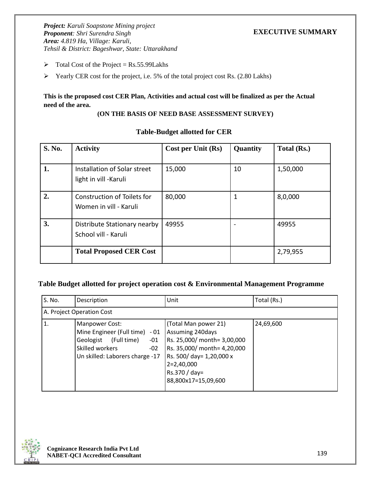- $\triangleright$  Total Cost of the Project = Rs.55.99Lakhs
- ➢ Yearly CER cost for the project, i.e. 5% of the total project cost Rs. (2.80 Lakhs)

### **This is the proposed cost CER Plan, Activities and actual cost will be finalized as per the Actual need of the area.**

#### **(ON THE BASIS OF NEED BASE ASSESSMENT SURVEY)**

| <b>S. No.</b> | <b>Activity</b>                | Cost per Unit (Rs) | Quantity | Total (Rs.) |
|---------------|--------------------------------|--------------------|----------|-------------|
|               |                                |                    |          |             |
| 1.            | Installation of Solar street   | 15,000             | 10       | 1,50,000    |
|               | light in vill -Karuli          |                    |          |             |
| 2.            | Construction of Toilets for    | 80,000             | 1        | 8,0,000     |
|               | Women in vill - Karuli         |                    |          |             |
| 3.            | Distribute Stationary nearby   | 49955              |          | 49955       |
|               | School vill - Karuli           |                    |          |             |
|               | <b>Total Proposed CER Cost</b> |                    |          | 2,79,955    |
|               |                                |                    |          |             |

#### **Table-Budget allotted for CER**

#### **Table Budget allotted for project operation cost & Environmental Management Programme**

| S. No.       | Description                                                                                                                                          | Unit                                                                                                                                                                                       | Total (Rs.) |
|--------------|------------------------------------------------------------------------------------------------------------------------------------------------------|--------------------------------------------------------------------------------------------------------------------------------------------------------------------------------------------|-------------|
|              | A. Project Operation Cost                                                                                                                            |                                                                                                                                                                                            |             |
| $\mathbf{1}$ | Manpower Cost:<br>Mine Engineer (Full time) - 01<br>Geologist<br>(Full time)<br>$-01$<br>Skilled workers<br>$-02$<br>Un skilled: Laborers charge -17 | (Total Man power 21)<br>Assuming 240days<br>Rs. 25,000/ month= 3,00,000<br>Rs. 35,000/ month= 4,20,000<br>Rs. 500/ day= 1,20,000 x<br>$2=2,40,000$<br>Rs.370 / day=<br>88,800x17=15,09,600 | 24,69,600   |

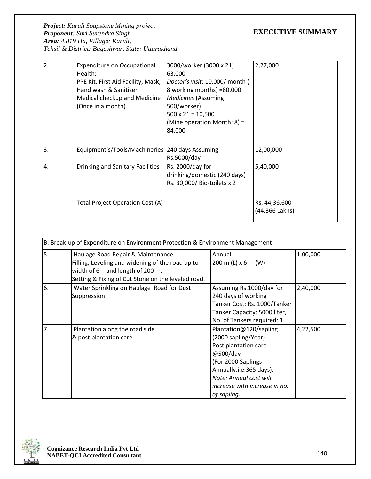# **EXECUTIVE SUMMARY**

| 2. | <b>Expenditure on Occupational</b><br>Health:<br>PPE Kit, First Aid Facility, Mask,<br>Hand wash & Sanitizer<br>Medical checkup and Medicine<br>(Once in a month) | 3000/worker (3000 x 21)=<br>63,000<br>Doctor's visit: 10,000/ month (<br>8 working months) =80,000<br><b>Medicines (Assuming</b><br>500/worker)<br>$500 \times 21 = 10,500$<br>(Mine operation Month: 8) =<br>84,000 | 2,27,000                        |
|----|-------------------------------------------------------------------------------------------------------------------------------------------------------------------|----------------------------------------------------------------------------------------------------------------------------------------------------------------------------------------------------------------------|---------------------------------|
| 3. | Equipment's/Tools/Machineries   240 days Assuming                                                                                                                 | Rs.5000/day                                                                                                                                                                                                          | 12,00,000                       |
| 4. | <b>Drinking and Sanitary Facilities</b>                                                                                                                           | Rs. 2000/day for<br>drinking/domestic (240 days)<br>Rs. 30,000/ Bio-toilets x 2                                                                                                                                      | 5,40,000                        |
|    | Total Project Operation Cost (A)                                                                                                                                  |                                                                                                                                                                                                                      | Rs. 44,36,600<br>(44.366 Lakhs) |

| B. Break-up of Expenditure on Environment Protection & Environment Management |                                                                                                                                                                                 |                                                                                                                                                                                                              |          |  |
|-------------------------------------------------------------------------------|---------------------------------------------------------------------------------------------------------------------------------------------------------------------------------|--------------------------------------------------------------------------------------------------------------------------------------------------------------------------------------------------------------|----------|--|
| 5.                                                                            | Haulage Road Repair & Maintenance<br>Filling, Leveling and widening of the road up to<br>width of 6m and length of 200 m.<br>Setting & Fixing of Cut Stone on the leveled road. | Annual<br>200 m (L) $x 6$ m (W)                                                                                                                                                                              | 1,00,000 |  |
| 6.                                                                            | Water Sprinkling on Haulage Road for Dust<br>Suppression                                                                                                                        | Assuming Rs.1000/day for<br>240 days of working<br>Tanker Cost: Rs. 1000/Tanker<br>Tanker Capacity: 5000 liter,<br>No. of Tankers required: 1                                                                | 2,40,000 |  |
| 7.                                                                            | Plantation along the road side<br>& post plantation care                                                                                                                        | Plantation@120/sapling<br>(2000 sapling/Year)<br>Post plantation care<br>@500/day<br>(For 2000 Saplings<br>Annually.i.e.365 days).<br>Note: Annual cost will<br>increase with increase in no.<br>of sapling. | 4,22,500 |  |

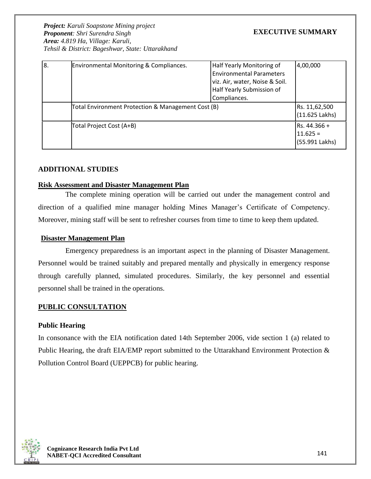## **EXECUTIVE SUMMARY**

| 8. | <b>Environmental Monitoring &amp; Compliances.</b> | Half Yearly Monitoring of<br><b>Environmental Parameters</b><br>viz. Air, water, Noise & Soil.<br>Half Yearly Submission of<br>Compliances. | 4,00,000                                     |
|----|----------------------------------------------------|---------------------------------------------------------------------------------------------------------------------------------------------|----------------------------------------------|
|    | Total Environment Protection & Management Cost (B) |                                                                                                                                             | Rs. 11,62,500<br>(11.625 Lakhs)              |
|    | Total Project Cost (A+B)                           |                                                                                                                                             | Rs. 44.366 +<br>$11.625 =$<br>(55.991 Lakhs) |

#### **ADDITIONAL STUDIES**

#### **Risk Assessment and Disaster Management Plan**

The complete mining operation will be carried out under the management control and direction of a qualified mine manager holding Mines Manager's Certificate of Competency. Moreover, mining staff will be sent to refresher courses from time to time to keep them updated.

#### **Disaster Management Plan**

Emergency preparedness is an important aspect in the planning of Disaster Management. Personnel would be trained suitably and prepared mentally and physically in emergency response through carefully planned, simulated procedures. Similarly, the key personnel and essential personnel shall be trained in the operations.

#### **PUBLIC CONSULTATION**

#### **Public Hearing**

In consonance with the EIA notification dated 14th September 2006, vide section 1 (a) related to Public Hearing, the draft EIA/EMP report submitted to the Uttarakhand Environment Protection & Pollution Control Board (UEPPCB) for public hearing.